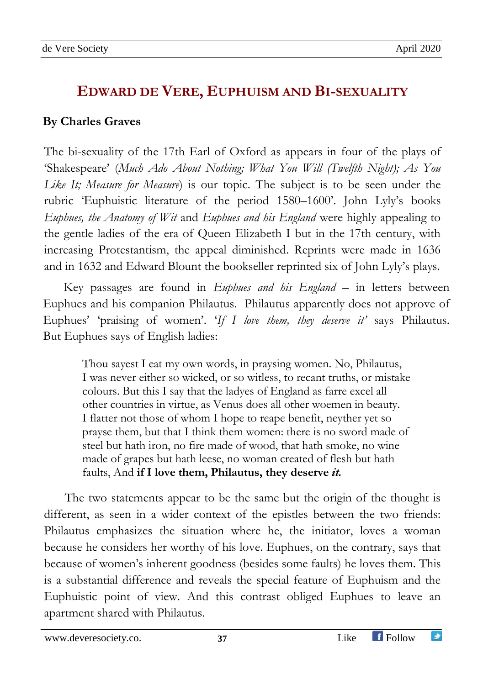## **EDWARD DE VERE, EUPHUISM AND BI-SEXUALITY**

## **By Charles Graves**

The bi-sexuality of the 17th Earl of Oxford as appears in four of the plays of 'Shakespeare' (*Much Ado About Nothing; What You Will (Twelfth Night); As You Like It; Measure for Measure*) is our topic. The subject is to be seen under the rubric 'Euphuistic literature of the period 1580–1600'. John Lyly's books *Euphues, the Anatomy of Wit* and *Euphues and his England* were highly appealing to the gentle ladies of the era of Queen Elizabeth I but in the 17th century, with increasing Protestantism, the appeal diminished. Reprints were made in 1636 and in 1632 and Edward Blount the bookseller reprinted six of John Lyly's plays.

Key passages are found in *Euphues and his England –* in letters between Euphues and his companion Philautus. Philautus apparently does not approve of Euphues' 'praising of women'. '*If I love them, they deserve it'* says Philautus. But Euphues says of English ladies:

Thou sayest I eat my own words, in praysing women. No, Philautus, I was never either so wicked, or so witless, to recant truths, or mistake colours. But this I say that the ladyes of England as farre excel all other countries in virtue, as Venus does all other woemen in beauty. I flatter not those of whom I hope to reape benefit, neyther yet so prayse them, but that I think them women: there is no sword made of steel but hath iron, no fire made of wood, that hath smoke, no wine made of grapes but hath leese, no woman created of flesh but hath faults, And **if I love them, Philautus, they deserve** *it.*

The two statements appear to be the same but the origin of the thought is different, as seen in a wider context of the epistles between the two friends: Philautus emphasizes the situation where he, the initiator, loves a woman because he considers her worthy of his love. Euphues, on the contrary, says that because of women's inherent goodness (besides some faults) he loves them. This is a substantial difference and reveals the special feature of Euphuism and the Euphuistic point of view. And this contrast obliged Euphues to leave an apartment shared with Philautus.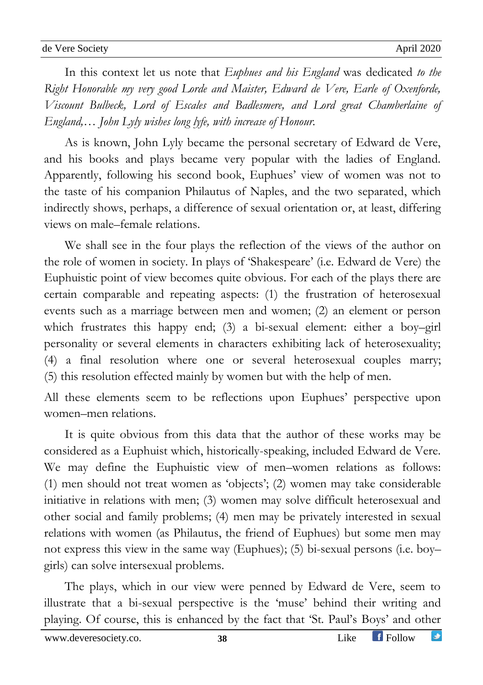In this context let us note that *Euphues and his England* was dedicated *to the Right Honorable my very good Lorde and Maister, Edward de Vere, Earle of Oxenforde, Viscount Bulbeck, Lord of Escales and Badlesmere, and Lord great Chamberlaine of England,… John Lyly wishes long lyfe, with increase of Honour.* 

As is known, John Lyly became the personal secretary of Edward de Vere, and his books and plays became very popular with the ladies of England. Apparently, following his second book, Euphues' view of women was not to the taste of his companion Philautus of Naples, and the two separated, which indirectly shows, perhaps, a difference of sexual orientation or, at least, differing views on male–female relations.

We shall see in the four plays the reflection of the views of the author on the role of women in society. In plays of 'Shakespeare' (i.e. Edward de Vere) the Euphuistic point of view becomes quite obvious. For each of the plays there are certain comparable and repeating aspects: (1) the frustration of heterosexual events such as a marriage between men and women; (2) an element or person which frustrates this happy end; (3) a bi-sexual element: either a boy–girl personality or several elements in characters exhibiting lack of heterosexuality; (4) a final resolution where one or several heterosexual couples marry; (5) this resolution effected mainly by women but with the help of men.

All these elements seem to be reflections upon Euphues' perspective upon women–men relations.

It is quite obvious from this data that the author of these works may be considered as a Euphuist which, historically-speaking, included Edward de Vere. We may define the Euphuistic view of men–women relations as follows: (1) men should not treat women as 'objects'; (2) women may take considerable initiative in relations with men; (3) women may solve difficult heterosexual and other social and family problems; (4) men may be privately interested in sexual relations with women (as Philautus, the friend of Euphues) but some men may not express this view in the same way (Euphues); (5) bi-sexual persons (i.e. boy– girls) can solve intersexual problems.

The plays, which in our view were penned by Edward de Vere, seem to illustrate that a bi-sexual perspective is the 'muse' behind their writing and playing. Of course, this is enhanced by the fact that 'St. Paul's Boys' and other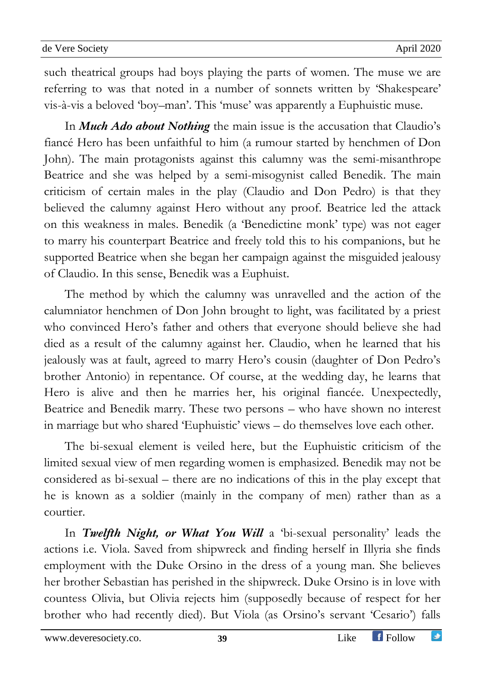such theatrical groups had boys playing the parts of women. The muse we are referring to was that noted in a number of sonnets written by 'Shakespeare' vis-à-vis a beloved 'boy–man'. This 'muse' was apparently a Euphuistic muse.

In *Much Ado about Nothing* the main issue is the accusation that Claudio's fiancé Hero has been unfaithful to him (a rumour started by henchmen of Don John). The main protagonists against this calumny was the semi-misanthrope Beatrice and she was helped by a semi-misogynist called Benedik. The main criticism of certain males in the play (Claudio and Don Pedro) is that they believed the calumny against Hero without any proof. Beatrice led the attack on this weakness in males. Benedik (a 'Benedictine monk' type) was not eager to marry his counterpart Beatrice and freely told this to his companions, but he supported Beatrice when she began her campaign against the misguided jealousy of Claudio. In this sense, Benedik was a Euphuist.

The method by which the calumny was unravelled and the action of the calumniator henchmen of Don John brought to light, was facilitated by a priest who convinced Hero's father and others that everyone should believe she had died as a result of the calumny against her. Claudio, when he learned that his jealously was at fault, agreed to marry Hero's cousin (daughter of Don Pedro's brother Antonio) in repentance. Of course, at the wedding day, he learns that Hero is alive and then he marries her, his original fiancée. Unexpectedly, Beatrice and Benedik marry. These two persons – who have shown no interest in marriage but who shared 'Euphuistic' views – do themselves love each other.

The bi-sexual element is veiled here, but the Euphuistic criticism of the limited sexual view of men regarding women is emphasized. Benedik may not be considered as bi-sexual – there are no indications of this in the play except that he is known as a soldier (mainly in the company of men) rather than as a courtier.

In *Twelfth Night, or What You Will* a 'bi-sexual personality' leads the actions i.e. Viola. Saved from shipwreck and finding herself in Illyria she finds employment with the Duke Orsino in the dress of a young man. She believes her brother Sebastian has perished in the shipwreck. Duke Orsino is in love with countess Olivia, but Olivia rejects him (supposedly because of respect for her brother who had recently died). But Viola (as Orsino's servant 'Cesario') falls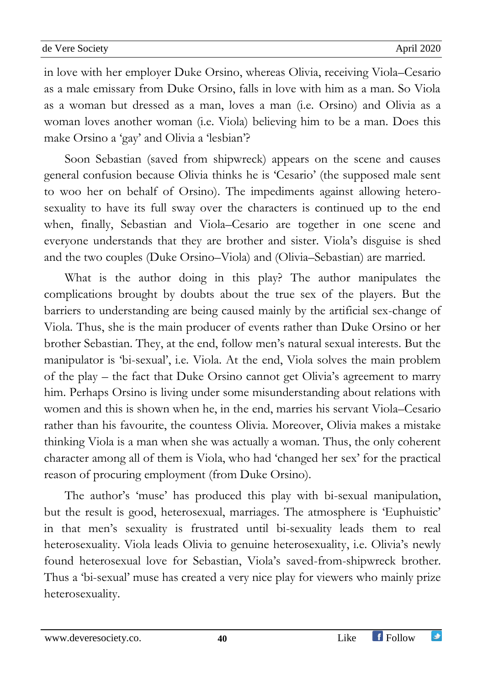in love with her employer Duke Orsino, whereas Olivia, receiving Viola–Cesario as a male emissary from Duke Orsino, falls in love with him as a man. So Viola as a woman but dressed as a man, loves a man (i.e. Orsino) and Olivia as a woman loves another woman (i.e. Viola) believing him to be a man. Does this make Orsino a 'gay' and Olivia a 'lesbian'?

Soon Sebastian (saved from shipwreck) appears on the scene and causes general confusion because Olivia thinks he is 'Cesario' (the supposed male sent to woo her on behalf of Orsino). The impediments against allowing heterosexuality to have its full sway over the characters is continued up to the end when, finally, Sebastian and Viola–Cesario are together in one scene and everyone understands that they are brother and sister. Viola's disguise is shed and the two couples (Duke Orsino–Viola) and (Olivia–Sebastian) are married.

What is the author doing in this play? The author manipulates the complications brought by doubts about the true sex of the players. But the barriers to understanding are being caused mainly by the artificial sex-change of Viola. Thus, she is the main producer of events rather than Duke Orsino or her brother Sebastian. They, at the end, follow men's natural sexual interests. But the manipulator is 'bi-sexual', i.e. Viola. At the end, Viola solves the main problem of the play – the fact that Duke Orsino cannot get Olivia's agreement to marry him. Perhaps Orsino is living under some misunderstanding about relations with women and this is shown when he, in the end, marries his servant Viola–Cesario rather than his favourite, the countess Olivia. Moreover, Olivia makes a mistake thinking Viola is a man when she was actually a woman. Thus, the only coherent character among all of them is Viola, who had 'changed her sex' for the practical reason of procuring employment (from Duke Orsino).

The author's 'muse' has produced this play with bi-sexual manipulation, but the result is good, heterosexual, marriages. The atmosphere is 'Euphuistic' in that men's sexuality is frustrated until bi-sexuality leads them to real heterosexuality. Viola leads Olivia to genuine heterosexuality, i.e. Olivia's newly found heterosexual love for Sebastian, Viola's saved-from-shipwreck brother. Thus a 'bi-sexual' muse has created a very nice play for viewers who mainly prize heterosexuality.

## www.deveresociety.co. **40** Like Follow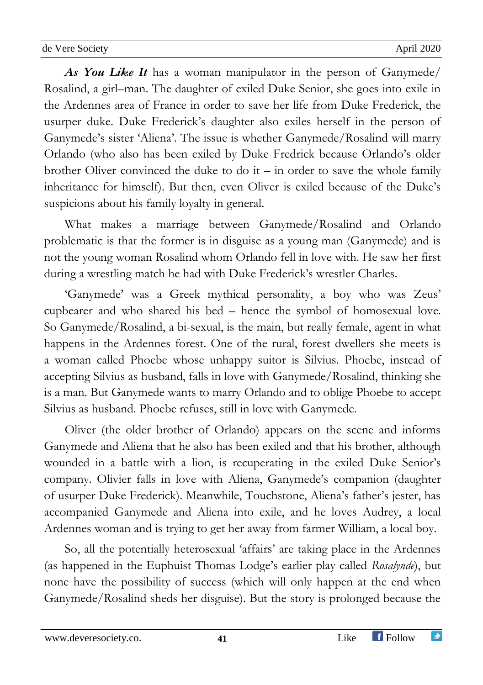*As You Like It* has a woman manipulator in the person of Ganymede/ Rosalind, a girl–man. The daughter of exiled Duke Senior, she goes into exile in the Ardennes area of France in order to save her life from Duke Frederick, the usurper duke. Duke Frederick's daughter also exiles herself in the person of Ganymede's sister 'Aliena'. The issue is whether Ganymede/Rosalind will marry Orlando (who also has been exiled by Duke Fredrick because Orlando's older brother Oliver convinced the duke to do it – in order to save the whole family inheritance for himself). But then, even Oliver is exiled because of the Duke's suspicions about his family loyalty in general.

What makes a marriage between Ganymede/Rosalind and Orlando problematic is that the former is in disguise as a young man (Ganymede) and is not the young woman Rosalind whom Orlando fell in love with. He saw her first during a wrestling match he had with Duke Frederick's wrestler Charles.

'Ganymede' was a Greek mythical personality, a boy who was Zeus' cupbearer and who shared his bed – hence the symbol of homosexual love. So Ganymede/Rosalind, a bi-sexual, is the main, but really female, agent in what happens in the Ardennes forest. One of the rural, forest dwellers she meets is a woman called Phoebe whose unhappy suitor is Silvius. Phoebe, instead of accepting Silvius as husband, falls in love with Ganymede/Rosalind, thinking she is a man. But Ganymede wants to marry Orlando and to oblige Phoebe to accept Silvius as husband. Phoebe refuses, still in love with Ganymede.

Oliver (the older brother of Orlando) appears on the scene and informs Ganymede and Aliena that he also has been exiled and that his brother, although wounded in a battle with a lion, is recuperating in the exiled Duke Senior's company. Olivier falls in love with Aliena, Ganymede's companion (daughter of usurper Duke Frederick). Meanwhile, Touchstone, Aliena's father's jester, has accompanied Ganymede and Aliena into exile, and he loves Audrey, a local Ardennes woman and is trying to get her away from farmer William, a local boy.

So, all the potentially heterosexual 'affairs' are taking place in the Ardennes (as happened in the Euphuist Thomas Lodge's earlier play called *Rosalynde*), but none have the possibility of success (which will only happen at the end when Ganymede/Rosalind sheds her disguise). But the story is prolonged because the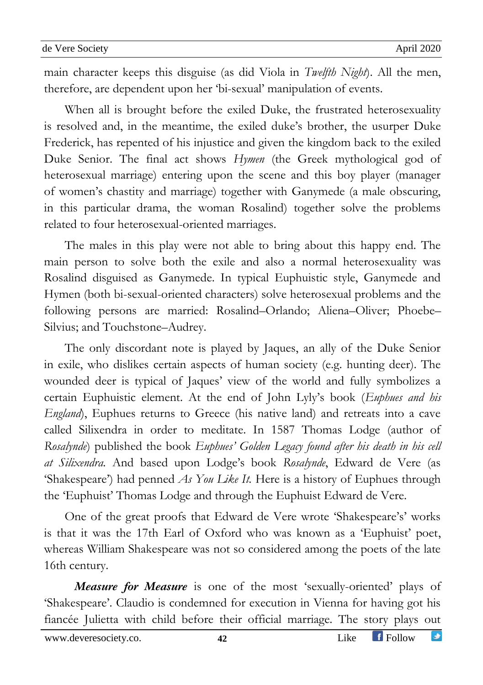main character keeps this disguise (as did Viola in *Twelfth Night*). All the men, therefore, are dependent upon her 'bi-sexual' manipulation of events.

When all is brought before the exiled Duke, the frustrated heterosexuality is resolved and, in the meantime, the exiled duke's brother, the usurper Duke Frederick, has repented of his injustice and given the kingdom back to the exiled Duke Senior. The final act shows *Hymen* (the Greek mythological god of heterosexual marriage) entering upon the scene and this boy player (manager of women's chastity and marriage) together with Ganymede (a male obscuring, in this particular drama, the woman Rosalind) together solve the problems related to four heterosexual-oriented marriages.

The males in this play were not able to bring about this happy end. The main person to solve both the exile and also a normal heterosexuality was Rosalind disguised as Ganymede. In typical Euphuistic style, Ganymede and Hymen (both bi-sexual-oriented characters) solve heterosexual problems and the following persons are married: Rosalind–Orlando; Aliena–Oliver; Phoebe– Silvius; and Touchstone–Audrey.

The only discordant note is played by Jaques, an ally of the Duke Senior in exile, who dislikes certain aspects of human society (e.g. hunting deer). The wounded deer is typical of Jaques' view of the world and fully symbolizes a certain Euphuistic element. At the end of John Lyly's book (*Euphues and his England*), Euphues returns to Greece (his native land) and retreats into a cave called Silixendra in order to meditate. In 1587 Thomas Lodge (author of *Rosalynde*) published the book *Euphues' Golden Legacy found after his death in his cell at Silixendra.* And based upon Lodge's book *Rosalynde*, Edward de Vere (as 'Shakespeare') had penned *As You Like It.* Here is a history of Euphues through the 'Euphuist' Thomas Lodge and through the Euphuist Edward de Vere.

One of the great proofs that Edward de Vere wrote 'Shakespeare's' works is that it was the 17th Earl of Oxford who was known as a 'Euphuist' poet, whereas William Shakespeare was not so considered among the poets of the late 16th century.

*Measure for Measure* is one of the most 'sexually-oriented' plays of 'Shakespeare'. Claudio is condemned for execution in Vienna for having got his fiancée Julietta with child before their official marriage. The story plays out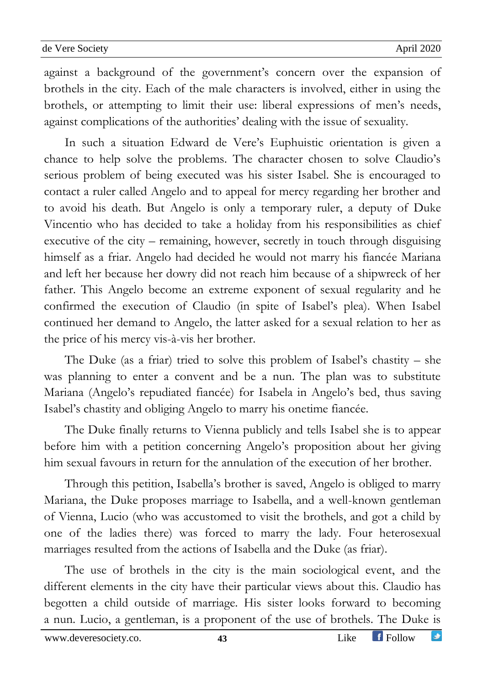against a background of the government's concern over the expansion of brothels in the city. Each of the male characters is involved, either in using the brothels, or attempting to limit their use: liberal expressions of men's needs, against complications of the authorities' dealing with the issue of sexuality.

In such a situation Edward de Vere's Euphuistic orientation is given a chance to help solve the problems. The character chosen to solve Claudio's serious problem of being executed was his sister Isabel. She is encouraged to contact a ruler called Angelo and to appeal for mercy regarding her brother and to avoid his death. But Angelo is only a temporary ruler, a deputy of Duke Vincentio who has decided to take a holiday from his responsibilities as chief executive of the city – remaining, however, secretly in touch through disguising himself as a friar. Angelo had decided he would not marry his fiancée Mariana and left her because her dowry did not reach him because of a shipwreck of her father. This Angelo become an extreme exponent of sexual regularity and he confirmed the execution of Claudio (in spite of Isabel's plea). When Isabel continued her demand to Angelo, the latter asked for a sexual relation to her as the price of his mercy vis-à-vis her brother.

The Duke (as a friar) tried to solve this problem of Isabel's chastity – she was planning to enter a convent and be a nun. The plan was to substitute Mariana (Angelo's repudiated fiancée) for Isabela in Angelo's bed, thus saving Isabel's chastity and obliging Angelo to marry his onetime fiancée.

The Duke finally returns to Vienna publicly and tells Isabel she is to appear before him with a petition concerning Angelo's proposition about her giving him sexual favours in return for the annulation of the execution of her brother.

Through this petition, Isabella's brother is saved, Angelo is obliged to marry Mariana, the Duke proposes marriage to Isabella, and a well-known gentleman of Vienna, Lucio (who was accustomed to visit the brothels, and got a child by one of the ladies there) was forced to marry the lady. Four heterosexual marriages resulted from the actions of Isabella and the Duke (as friar).

The use of brothels in the city is the main sociological event, and the different elements in the city have their particular views about this. Claudio has begotten a child outside of marriage. His sister looks forward to becoming a nun. Lucio, a gentleman, is a proponent of the use of brothels. The Duke is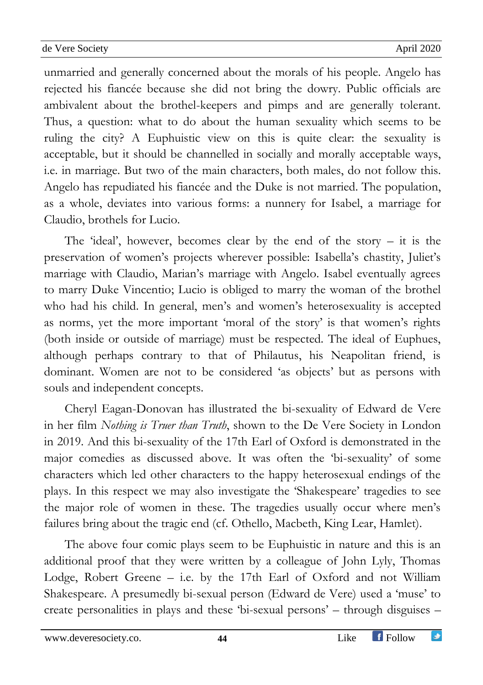unmarried and generally concerned about the morals of his people. Angelo has rejected his fiancée because she did not bring the dowry. Public officials are ambivalent about the brothel-keepers and pimps and are generally tolerant. Thus, a question: what to do about the human sexuality which seems to be ruling the city? A Euphuistic view on this is quite clear: the sexuality is acceptable, but it should be channelled in socially and morally acceptable ways, i.e. in marriage. But two of the main characters, both males, do not follow this. Angelo has repudiated his fiancée and the Duke is not married. The population, as a whole, deviates into various forms: a nunnery for Isabel, a marriage for Claudio, brothels for Lucio.

The 'ideal', however, becomes clear by the end of the story  $-$  it is the preservation of women's projects wherever possible: Isabella's chastity, Juliet's marriage with Claudio, Marian's marriage with Angelo. Isabel eventually agrees to marry Duke Vincentio; Lucio is obliged to marry the woman of the brothel who had his child. In general, men's and women's heterosexuality is accepted as norms, yet the more important 'moral of the story' is that women's rights (both inside or outside of marriage) must be respected. The ideal of Euphues, although perhaps contrary to that of Philautus, his Neapolitan friend, is dominant. Women are not to be considered 'as objects' but as persons with souls and independent concepts.

Cheryl Eagan-Donovan has illustrated the bi-sexuality of Edward de Vere in her film *Nothing is Truer than Truth*, shown to the De Vere Society in London in 2019. And this bi-sexuality of the 17th Earl of Oxford is demonstrated in the major comedies as discussed above. It was often the 'bi-sexuality' of some characters which led other characters to the happy heterosexual endings of the plays. In this respect we may also investigate the 'Shakespeare' tragedies to see the major role of women in these. The tragedies usually occur where men's failures bring about the tragic end (cf. Othello, Macbeth, King Lear, Hamlet).

The above four comic plays seem to be Euphuistic in nature and this is an additional proof that they were written by a colleague of John Lyly, Thomas Lodge, Robert Greene – i.e. by the 17th Earl of Oxford and not William Shakespeare. A presumedly bi-sexual person (Edward de Vere) used a 'muse' to create personalities in plays and these 'bi-sexual persons' – through disguises –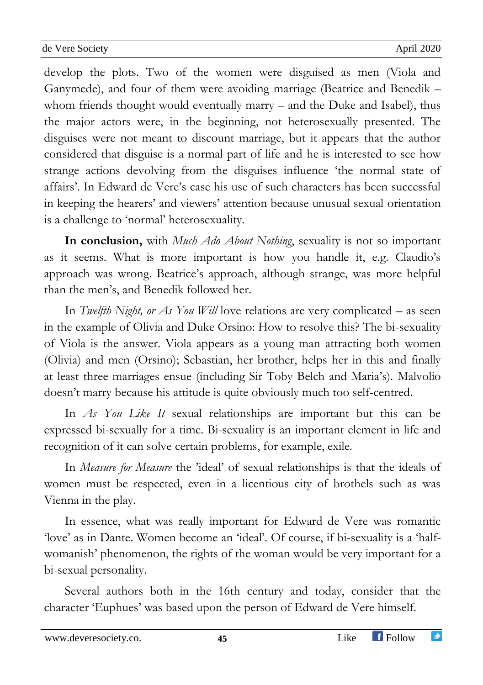develop the plots. Two of the women were disguised as men (Viola and Ganymede), and four of them were avoiding marriage (Beatrice and Benedik – whom friends thought would eventually marry – and the Duke and Isabel), thus the major actors were, in the beginning, not heterosexually presented. The disguises were not meant to discount marriage, but it appears that the author considered that disguise is a normal part of life and he is interested to see how strange actions devolving from the disguises influence 'the normal state of affairs'. In Edward de Vere's case his use of such characters has been successful in keeping the hearers' and viewers' attention because unusual sexual orientation is a challenge to 'normal' heterosexuality.

**In conclusion,** with *Much Ado About Nothing*, sexuality is not so important as it seems. What is more important is how you handle it, e.g. Claudio's approach was wrong. Beatrice's approach, although strange, was more helpful than the men's, and Benedik followed her.

In *Twelfth Night, or As You Will* love relations are very complicated – as seen in the example of Olivia and Duke Orsino: How to resolve this? The bi-sexuality of Viola is the answer. Viola appears as a young man attracting both women (Olivia) and men (Orsino); Sebastian, her brother, helps her in this and finally at least three marriages ensue (including Sir Toby Belch and Maria's). Malvolio doesn't marry because his attitude is quite obviously much too self-centred.

In *As You Like It* sexual relationships are important but this can be expressed bi-sexually for a time. Bi-sexuality is an important element in life and recognition of it can solve certain problems, for example, exile.

In *Measure for Measure* the 'ideal' of sexual relationships is that the ideals of women must be respected, even in a licentious city of brothels such as was Vienna in the play.

In essence, what was really important for Edward de Vere was romantic 'love' as in Dante. Women become an 'ideal'. Of course, if bi-sexuality is a 'halfwomanish' phenomenon, the rights of the woman would be very important for a bi-sexual personality.

Several authors both in the 16th century and today, consider that the character 'Euphues' was based upon the person of Edward de Vere himself.